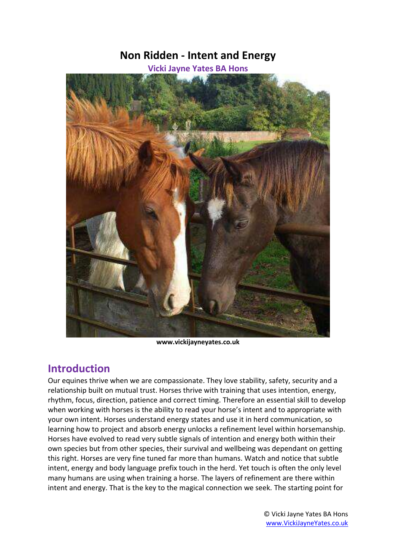# **Non Ridden - Intent and Energy**

**Vicki Jayne Yates BA Hons**



**www.vickijayneyates.co.uk**

# **Introduction**

Our equines thrive when we are compassionate. They love stability, safety, security and a relationship built on mutual trust. Horses thrive with training that uses intention, energy, rhythm, focus, direction, patience and correct timing. Therefore an essential skill to develop when working with horses is the ability to read your horse's intent and to appropriate with your own intent. Horses understand energy states and use it in herd communication, so learning how to project and absorb energy unlocks a refinement level within horsemanship. Horses have evolved to read very subtle signals of intention and energy both within their own species but from other species, their survival and wellbeing was dependant on getting this right. Horses are very fine tuned far more than humans. Watch and notice that subtle intent, energy and body language prefix touch in the herd. Yet touch is often the only level many humans are using when training a horse. The layers of refinement are there within intent and energy. That is the key to the magical connection we seek. The starting point for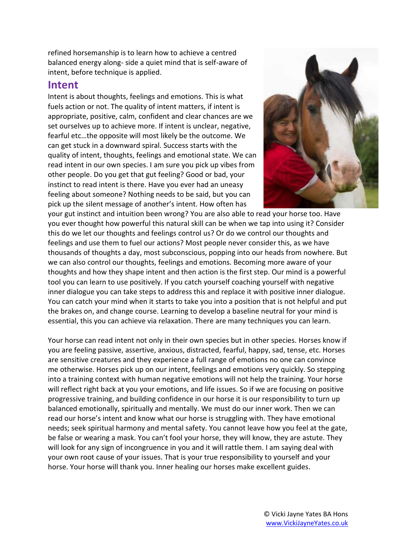refined horsemanship is to learn how to achieve a centred balanced energy along- side a quiet mind that is self-aware of intent, before technique is applied.

### **Intent**

Intent is about thoughts, feelings and emotions. This is what fuels action or not. The quality of intent matters, if intent is appropriate, positive, calm, confident and clear chances are we set ourselves up to achieve more. If intent is unclear, negative, fearful etc…the opposite will most likely be the outcome. We can get stuck in a downward spiral. Success starts with the quality of intent, thoughts, feelings and emotional state. We can read intent in our own species. I am sure you pick up vibes from other people. Do you get that gut feeling? Good or bad, your instinct to read intent is there. Have you ever had an uneasy feeling about someone? Nothing needs to be said, but you can pick up the silent message of another's intent. How often has



your gut instinct and intuition been wrong? You are also able to read your horse too. Have you ever thought how powerful this natural skill can be when we tap into using it? Consider this do we let our thoughts and feelings control us? Or do we control our thoughts and feelings and use them to fuel our actions? Most people never consider this, as we have thousands of thoughts a day, most subconscious, popping into our heads from nowhere. But we can also control our thoughts, feelings and emotions. Becoming more aware of your thoughts and how they shape intent and then action is the first step. Our mind is a powerful tool you can learn to use positively. If you catch yourself coaching yourself with negative inner dialogue you can take steps to address this and replace it with positive inner dialogue. You can catch your mind when it starts to take you into a position that is not helpful and put the brakes on, and change course. Learning to develop a baseline neutral for your mind is essential, this you can achieve via relaxation. There are many techniques you can learn.

Your horse can read intent not only in their own species but in other species. Horses know if you are feeling passive, assertive, anxious, distracted, fearful, happy, sad, tense, etc. Horses are sensitive creatures and they experience a full range of emotions no one can convince me otherwise. Horses pick up on our intent, feelings and emotions very quickly. So stepping into a training context with human negative emotions will not help the training. Your horse will reflect right back at you your emotions, and life issues. So if we are focusing on positive progressive training, and building confidence in our horse it is our responsibility to turn up balanced emotionally, spiritually and mentally. We must do our inner work. Then we can read our horse's intent and know what our horse is struggling with. They have emotional needs; seek spiritual harmony and mental safety. You cannot leave how you feel at the gate, be false or wearing a mask. You can't fool your horse, they will know, they are astute. They will look for any sign of incongruence in you and it will rattle them. I am saying deal with your own root cause of your issues. That is your true responsibility to yourself and your horse. Your horse will thank you. Inner healing our horses make excellent guides.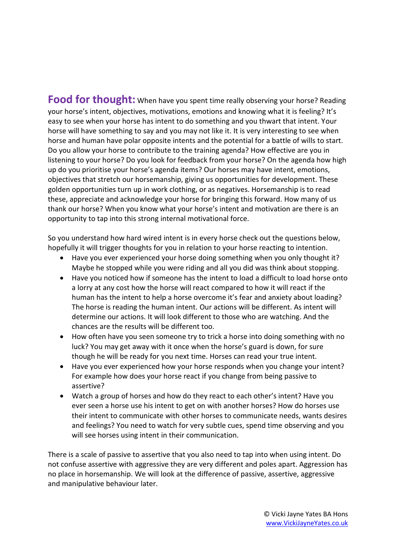**Food for thought:** When have you spent time really observing your horse? Reading your horse's intent, objectives, motivations, emotions and knowing what it is feeling? It's easy to see when your horse has intent to do something and you thwart that intent. Your horse will have something to say and you may not like it. It is very interesting to see when horse and human have polar opposite intents and the potential for a battle of wills to start. Do you allow your horse to contribute to the training agenda? How effective are you in listening to your horse? Do you look for feedback from your horse? On the agenda how high up do you prioritise your horse's agenda items? Our horses may have intent, emotions, objectives that stretch our horsemanship, giving us opportunities for development. These golden opportunities turn up in work clothing, or as negatives. Horsemanship is to read these, appreciate and acknowledge your horse for bringing this forward. How many of us thank our horse? When you know what your horse's intent and motivation are there is an opportunity to tap into this strong internal motivational force.

So you understand how hard wired intent is in every horse check out the questions below, hopefully it will trigger thoughts for you in relation to your horse reacting to intention.

- Have you ever experienced your horse doing something when you only thought it? Maybe he stopped while you were riding and all you did was think about stopping.
- Have you noticed how if someone has the intent to load a difficult to load horse onto a lorry at any cost how the horse will react compared to how it will react if the human has the intent to help a horse overcome it's fear and anxiety about loading? The horse is reading the human intent. Our actions will be different. As intent will determine our actions. It will look different to those who are watching. And the chances are the results will be different too.
- How often have you seen someone try to trick a horse into doing something with no luck? You may get away with it once when the horse's guard is down, for sure though he will be ready for you next time. Horses can read your true intent.
- Have you ever experienced how your horse responds when you change your intent? For example how does your horse react if you change from being passive to assertive?
- Watch a group of horses and how do they react to each other's intent? Have you ever seen a horse use his intent to get on with another horses? How do horses use their intent to communicate with other horses to communicate needs, wants desires and feelings? You need to watch for very subtle cues, spend time observing and you will see horses using intent in their communication.

There is a scale of passive to assertive that you also need to tap into when using intent. Do not confuse assertive with aggressive they are very different and poles apart. Aggression has no place in horsemanship. We will look at the difference of passive, assertive, aggressive and manipulative behaviour later.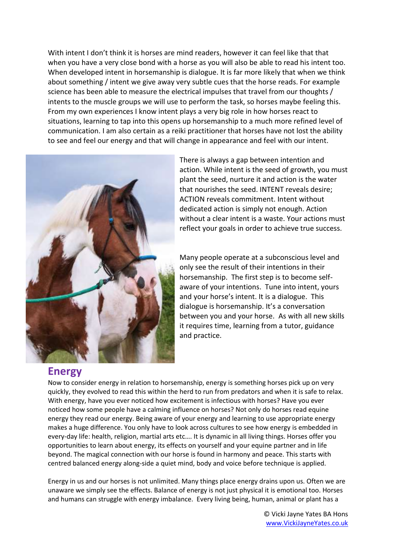With intent I don't think it is horses are mind readers, however it can feel like that that when you have a very close bond with a horse as you will also be able to read his intent too. When developed intent in horsemanship is dialogue. It is far more likely that when we think about something / intent we give away very subtle cues that the horse reads. For example science has been able to measure the electrical impulses that travel from our thoughts / intents to the muscle groups we will use to perform the task, so horses maybe feeling this. From my own experiences I know intent plays a very big role in how horses react to situations, learning to tap into this opens up horsemanship to a much more refined level of communication. I am also certain as a reiki practitioner that horses have not lost the ability to see and feel our energy and that will change in appearance and feel with our intent.



There is always a gap between intention and action. While intent is the seed of growth, you must plant the seed, nurture it and action is the water that nourishes the seed. INTENT reveals desire; ACTION reveals commitment. Intent without dedicated action is simply not enough. Action without a clear intent is a waste. Your actions must reflect your goals in order to achieve true success.

Many people operate at a subconscious level and only see the result of their intentions in their horsemanship. The first step is to become selfaware of your intentions. Tune into intent, yours and your horse's intent. It is a dialogue. This dialogue is horsemanship. It's a conversation between you and your horse. As with all new skills it requires time, learning from a tutor, guidance and practice.

### **Energy**

Now to consider energy in relation to horsemanship, energy is something horses pick up on very quickly, they evolved to read this within the herd to run from predators and when it is safe to relax. With energy, have you ever noticed how excitement is infectious with horses? Have you ever noticed how some people have a calming influence on horses? Not only do horses read equine energy they read our energy. Being aware of your energy and learning to use appropriate energy makes a huge difference. You only have to look across cultures to see how energy is embedded in every-day life: health, religion, martial arts etc…. It is dynamic in all living things. Horses offer you opportunities to learn about energy, its effects on yourself and your equine partner and in life beyond. The magical connection with our horse is found in harmony and peace. This starts with centred balanced energy along-side a quiet mind, body and voice before technique is applied.

Energy in us and our horses is not unlimited. Many things place energy drains upon us. Often we are unaware we simply see the effects. Balance of energy is not just physical it is emotional too. Horses and humans can struggle with energy imbalance. Every living being, human, animal or plant has a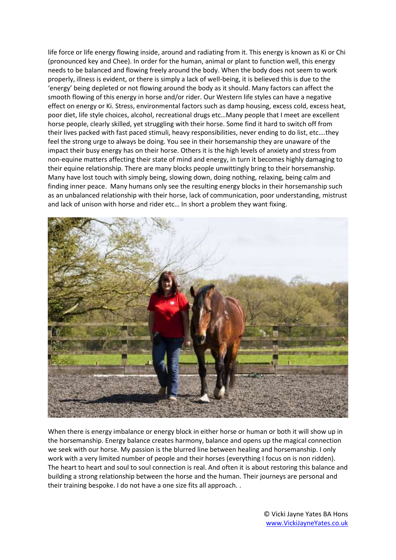life force or life energy flowing inside, around and radiating from it. This energy is known as Ki or Chi (pronounced key and Chee). In order for the human, animal or plant to function well, this energy needs to be balanced and flowing freely around the body. When the body does not seem to work properly, illness is evident, or there is simply a lack of well-being, it is believed this is due to the 'energy' being depleted or not flowing around the body as it should. Many factors can affect the smooth flowing of this energy in horse and/or rider. Our Western life styles can have a negative effect on energy or Ki. Stress, environmental factors such as damp housing, excess cold, excess heat, poor diet, life style choices, alcohol, recreational drugs etc…Many people that I meet are excellent horse people, clearly skilled, yet struggling with their horse. Some find it hard to switch off from their lives packed with fast paced stimuli, heavy responsibilities, never ending to do list, etc….they feel the strong urge to always be doing. You see in their horsemanship they are unaware of the impact their busy energy has on their horse. Others it is the high levels of anxiety and stress from non-equine matters affecting their state of mind and energy, in turn it becomes highly damaging to their equine relationship. There are many blocks people unwittingly bring to their horsemanship. Many have lost touch with simply being, slowing down, doing nothing, relaxing, being calm and finding inner peace. Many humans only see the resulting energy blocks in their horsemanship such as an unbalanced relationship with their horse, lack of communication, poor understanding, mistrust and lack of unison with horse and rider etc… In short a problem they want fixing.



When there is energy imbalance or energy block in either horse or human or both it will show up in the horsemanship. Energy balance creates harmony, balance and opens up the magical connection we seek with our horse. My passion is the blurred line between healing and horsemanship. I only work with a very limited number of people and their horses (everything I focus on is non ridden). The heart to heart and soul to soul connection is real. And often it is about restoring this balance and building a strong relationship between the horse and the human. Their journeys are personal and their training bespoke. I do not have a one size fits all approach. .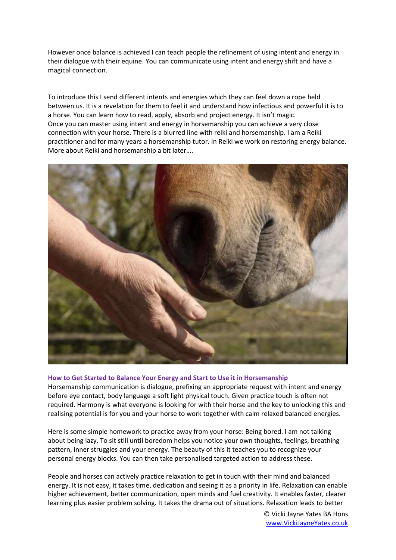However once balance is achieved I can teach people the refinement of using intent and energy in their dialogue with their equine. You can communicate using intent and energy shift and have a magical connection.

To introduce this I send different intents and energies which they can feel down a rope held between us. It is a revelation for them to feel it and understand how infectious and powerful it is to a horse. You can learn how to read, apply, absorb and project energy. It isn't magic. Once you can master using intent and energy in horsemanship you can achieve a very close connection with your horse. There is a blurred line with reiki and horsemanship. I am a Reiki practitioner and for many years a horsemanship tutor. In Reiki we work on restoring energy balance. More about Reiki and horsemanship a bit later….



#### **How to Get Started to Balance Your Energy and Start to Use it in Horsemanship**

Horsemanship communication is dialogue, prefixing an appropriate request with intent and energy before eye contact, body language a soft light physical touch. Given practice touch is often not required. Harmony is what everyone is looking for with their horse and the key to unlocking this and realising potential is for you and your horse to work together with calm relaxed balanced energies.

Here is some simple homework to practice away from your horse: Being bored. I am not talking about being lazy. To sit still until boredom helps you notice your own thoughts, feelings, breathing pattern, inner struggles and your energy. The beauty of this it teaches you to recognize your personal energy blocks. You can then take personalised targeted action to address these.

People and horses can actively practice relaxation to get in touch with their mind and balanced energy. It is not easy, it takes time, dedication and seeing it as a priority in life. Relaxation can enable higher achievement, better communication, open minds and fuel creativity. It enables faster, clearer learning plus easier problem solving. It takes the drama out of situations. Relaxation leads to better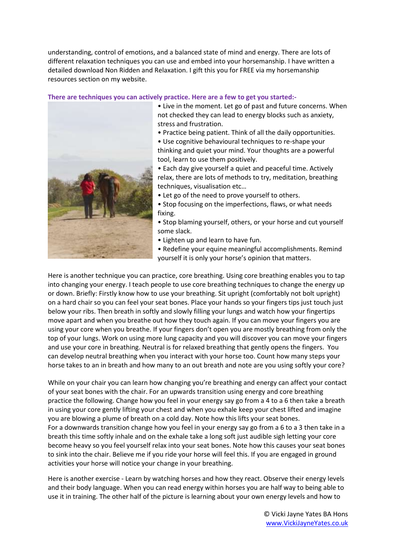understanding, control of emotions, and a balanced state of mind and energy. There are lots of different relaxation techniques you can use and embed into your horsemanship. I have written a detailed download Non Ridden and Relaxation. I gift this you for FREE via my horsemanship resources section on my website.

#### **There are techniques you can actively practice. Here are a few to get you started:-**



• Live in the moment. Let go of past and future concerns. When not checked they can lead to energy blocks such as anxiety, stress and frustration.

• Practice being patient. Think of all the daily opportunities.

• Use cognitive behavioural techniques to re-shape your thinking and quiet your mind. Your thoughts are a powerful tool, learn to use them positively.

• Each day give yourself a quiet and peaceful time. Actively relax, there are lots of methods to try, meditation, breathing techniques, visualisation etc…

- Let go of the need to prove yourself to others.
- Stop focusing on the imperfections, flaws, or what needs fixing.
- Stop blaming yourself, others, or your horse and cut yourself some slack.
- Lighten up and learn to have fun.
- Redefine your equine meaningful accomplishments. Remind yourself it is only your horse's opinion that matters.

Here is another technique you can practice, core breathing. Using core breathing enables you to tap into changing your energy. I teach people to use core breathing techniques to change the energy up or down. Briefly: Firstly know how to use your breathing. Sit upright (comfortably not bolt upright) on a hard chair so you can feel your seat bones. Place your hands so your fingers tips just touch just below your ribs. Then breath in softly and slowly filling your lungs and watch how your fingertips move apart and when you breathe out how they touch again. If you can move your fingers you are using your core when you breathe. If your fingers don't open you are mostly breathing from only the top of your lungs. Work on using more lung capacity and you will discover you can move your fingers and use your core in breathing. Neutral is for relaxed breathing that gently opens the fingers. You can develop neutral breathing when you interact with your horse too. Count how many steps your horse takes to an in breath and how many to an out breath and note are you using softly your core?

While on your chair you can learn how changing you're breathing and energy can affect your contact of your seat bones with the chair. For an upwards transition using energy and core breathing practice the following. Change how you feel in your energy say go from a 4 to a 6 then take a breath in using your core gently lifting your chest and when you exhale keep your chest lifted and imagine you are blowing a plume of breath on a cold day. Note how this lifts your seat bones. For a downwards transition change how you feel in your energy say go from a 6 to a 3 then take in a breath this time softly inhale and on the exhale take a long soft just audible sigh letting your core become heavy so you feel yourself relax into your seat bones. Note how this causes your seat bones to sink into the chair. Believe me if you ride your horse will feel this. If you are engaged in ground activities your horse will notice your change in your breathing.

Here is another exercise - Learn by watching horses and how they react. Observe their energy levels and their body language. When you can read energy within horses you are half way to being able to use it in training. The other half of the picture is learning about your own energy levels and how to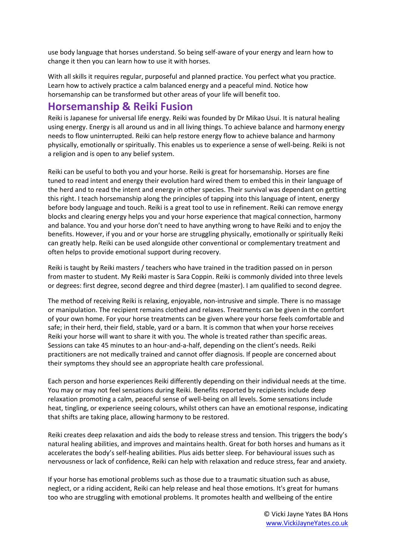use body language that horses understand. So being self-aware of your energy and learn how to change it then you can learn how to use it with horses.

With all skills it requires regular, purposeful and planned practice. You perfect what you practice. Learn how to actively practice a calm balanced energy and a peaceful mind. Notice how horsemanship can be transformed but other areas of your life will benefit too.

## **Horsemanship & Reiki Fusion**

Reiki is Japanese for universal life energy. Reiki was founded by Dr Mikao Usui. It is natural healing using energy. Energy is all around us and in all living things. To achieve balance and harmony energy needs to flow uninterrupted. Reiki can help restore energy flow to achieve balance and harmony physically, emotionally or spiritually. This enables us to experience a sense of well-being. Reiki is not a religion and is open to any belief system.

Reiki can be useful to both you and your horse. Reiki is great for horsemanship. Horses are fine tuned to read intent and energy their evolution hard wired them to embed this in their language of the herd and to read the intent and energy in other species. Their survival was dependant on getting this right. I teach horsemanship along the principles of tapping into this language of intent, energy before body language and touch. Reiki is a great tool to use in refinement. Reiki can remove energy blocks and clearing energy helps you and your horse experience that magical connection, harmony and balance. You and your horse don't need to have anything wrong to have Reiki and to enjoy the benefits. However, if you and or your horse are struggling physically, emotionally or spiritually Reiki can greatly help. Reiki can be used alongside other conventional or complementary treatment and often helps to provide emotional support during recovery.

Reiki is taught by Reiki masters / teachers who have trained in the tradition passed on in person from master to student. My Reiki master is Sara Coppin. Reiki is commonly divided into three levels or degrees: first degree, second degree and third degree (master). I am qualified to second degree.

The method of receiving Reiki is relaxing, enjoyable, non-intrusive and simple. There is no massage or manipulation. The recipient remains clothed and relaxes. Treatments can be given in the comfort of your own home. For your horse treatments can be given where your horse feels comfortable and safe; in their herd, their field, stable, yard or a barn. It is common that when your horse receives Reiki your horse will want to share it with you. The whole is treated rather than specific areas. Sessions can take 45 minutes to an hour-and-a-half, depending on the client's needs. Reiki practitioners are not medically trained and cannot offer diagnosis. If people are concerned about their symptoms they should see an appropriate health care professional.

Each person and horse experiences Reiki differently depending on their individual needs at the time. You may or may not feel sensations during Reiki. Benefits reported by recipients include deep relaxation promoting a calm, peaceful sense of well-being on all levels. Some sensations include heat, tingling, or experience seeing colours, whilst others can have an emotional response, indicating that shifts are taking place, allowing harmony to be restored.

Reiki creates deep relaxation and aids the body to release stress and tension. This triggers the body's natural healing abilities, and improves and maintains health. Great for both horses and humans as it accelerates the body's self-healing abilities. Plus aids better sleep. For behavioural issues such as nervousness or lack of confidence, Reiki can help with relaxation and reduce stress, fear and anxiety.

If your horse has emotional problems such as those due to a traumatic situation such as abuse, neglect, or a riding accident, Reiki can help release and heal those emotions. It's great for humans too who are struggling with emotional problems. It promotes health and wellbeing of the entire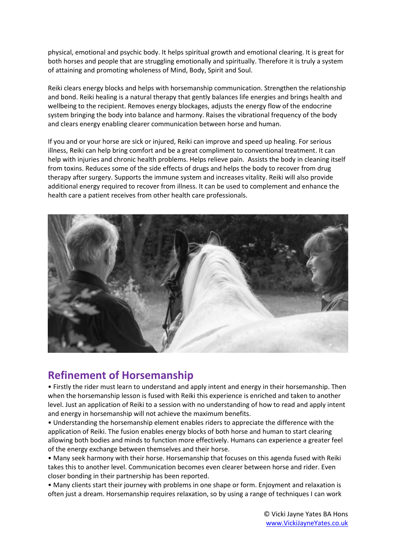physical, emotional and psychic body. It helps spiritual growth and emotional clearing. It is great for both horses and people that are struggling emotionally and spiritually. Therefore it is truly a system of attaining and promoting wholeness of Mind, Body, Spirit and Soul.

Reiki clears energy blocks and helps with horsemanship communication. Strengthen the relationship and bond. Reiki healing is a natural therapy that gently balances life energies and brings health and wellbeing to the recipient. Removes energy blockages, adjusts the energy flow of the endocrine system bringing the body into balance and harmony. Raises the vibrational frequency of the body and clears energy enabling clearer communication between horse and human.

If you and or your horse are sick or injured, Reiki can improve and speed up healing. For serious illness, Reiki can help bring comfort and be a great compliment to conventional treatment. It can help with injuries and chronic health problems. Helps relieve pain. Assists the body in cleaning itself from toxins. Reduces some of the side effects of drugs and helps the body to recover from drug therapy after surgery. Supports the immune system and increases vitality. Reiki will also provide additional energy required to recover from illness. It can be used to complement and enhance the health care a patient receives from other health care professionals.



# **Refinement of Horsemanship**

• Firstly the rider must learn to understand and apply intent and energy in their horsemanship. Then when the horsemanship lesson is fused with Reiki this experience is enriched and taken to another level. Just an application of Reiki to a session with no understanding of how to read and apply intent and energy in horsemanship will not achieve the maximum benefits.

• Understanding the horsemanship element enables riders to appreciate the difference with the application of Reiki. The fusion enables energy blocks of both horse and human to start clearing allowing both bodies and minds to function more effectively. Humans can experience a greater feel of the energy exchange between themselves and their horse.

• Many seek harmony with their horse. Horsemanship that focuses on this agenda fused with Reiki takes this to another level. Communication becomes even clearer between horse and rider. Even closer bonding in their partnership has been reported.

• Many clients start their journey with problems in one shape or form. Enjoyment and relaxation is often just a dream. Horsemanship requires relaxation, so by using a range of techniques I can work